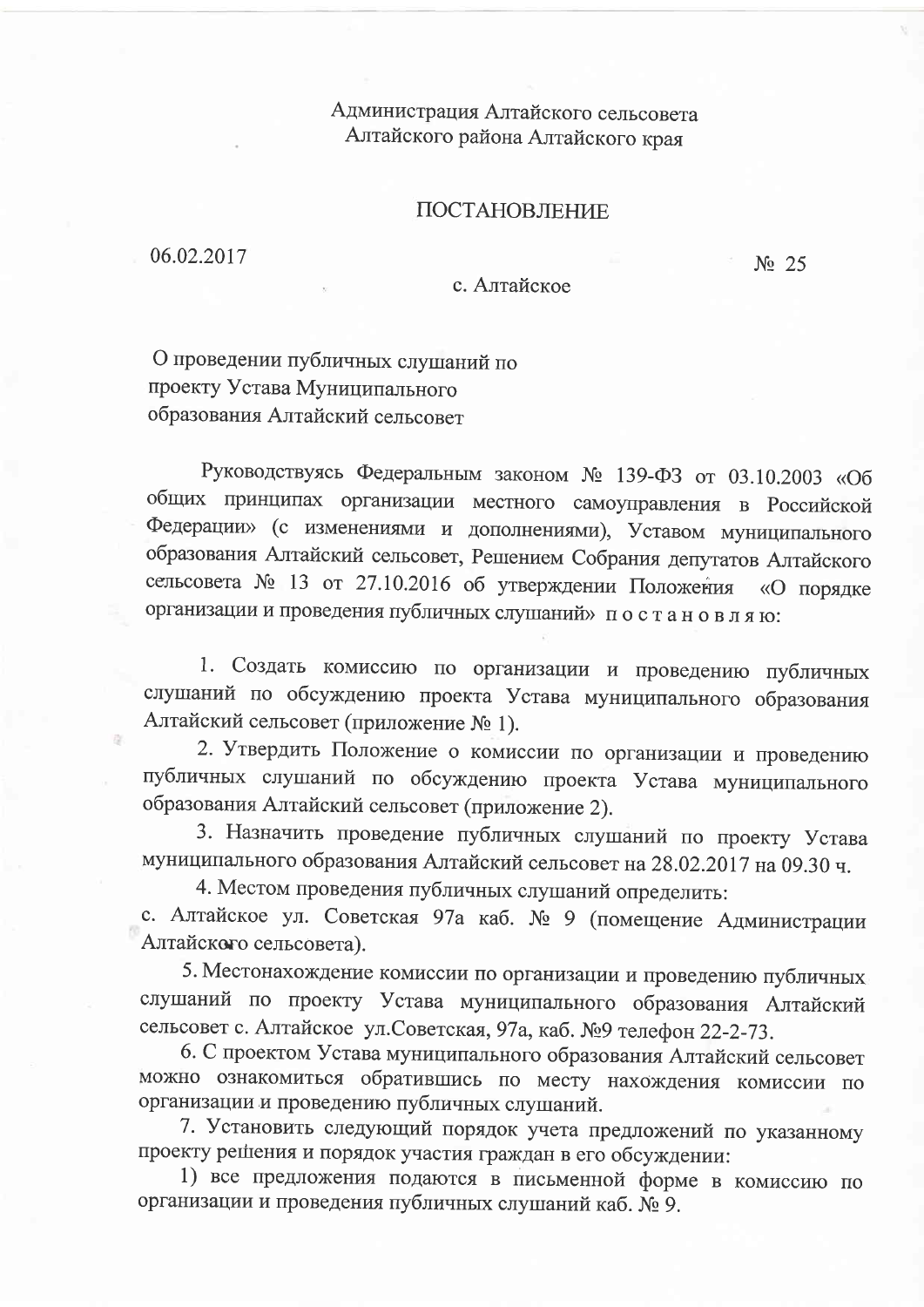Администрация Алтайского сельсовета Алтайского района Алтайского края

## ПОСТАНОВЛЕНИЕ

06.02.2017

 $N_2$  25

## с. Алтайское

О проведении публичных слушаний по проекту Устава Муниципального образования Алтайский сельсовет

Руководствуясь Федеральным законом № 139-ФЗ от 03.10.2003 «Об общих принципах организации местного самоуправления в Российской Федерации» (с изменениями и дополнениями), Уставом муниципального образования Алтайский сельсовет, Решением Собрания депутатов Алтайского сельсовета № 13 от 27.10.2016 об утверждении Положения «О порядке организации и проведения публичных слушаний» постановляю:

1. Создать комиссию по организации и проведению публичных слушаний по обсуждению проекта Устава муниципального образования Алтайский сельсовет (приложение № 1).

2. Утвердить Положение о комиссии по организации и проведению публичных слушаний по обсуждению проекта Устава муниципального образования Алтайский сельсовет (приложение 2).

3. Назначить проведение публичных слушаний по проекту Устава муниципального образования Алтайский сельсовет на 28.02.2017 на 09.30 ч.

4. Местом проведения публичных слушаний определить:

с. Алтайское ул. Советская 97а каб. № 9 (помещение Администрации Алтайского сельсовета).

5. Местонахождение комиссии по организации и проведению публичных слушаний по проекту Устава муниципального образования Алтайский сельсовет с. Алтайское ул.Советская, 97а, каб. №9 телефон 22-2-73.

6. С проектом Устава муниципального образования Алтайский сельсовет можно ознакомиться обратившись по месту нахождения комиссии по организации и проведению публичных слушаний.

7. Установить следующий порядок учета предложений по указанному проекту решения и порядок участия граждан в его обсуждении:

1) все предложения подаются в письменной форме в комиссию по организации и проведения публичных слушаний каб. № 9.